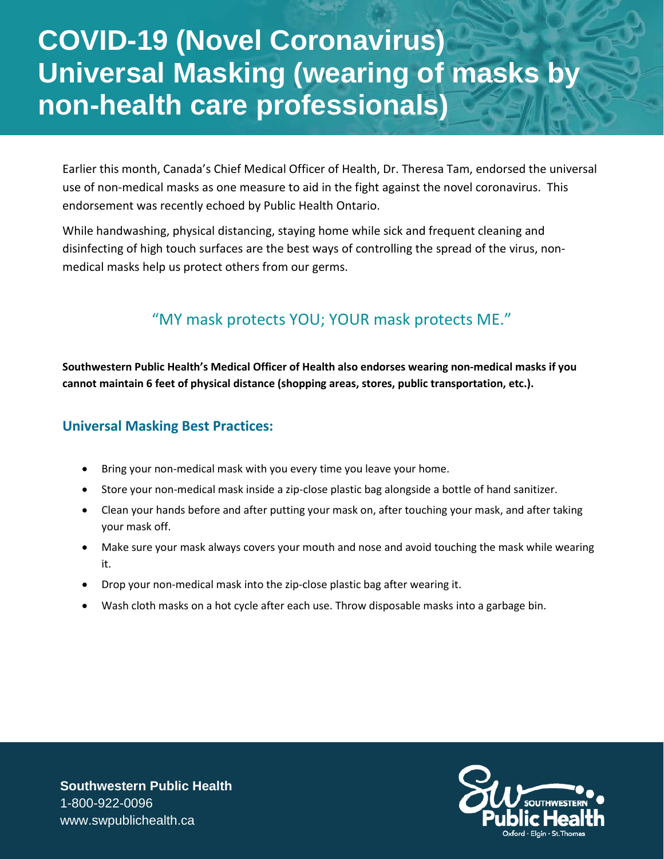## **COVID-19 (Novel Coronavirus) Universal Masking (wearing of masks by non-health care professionals)**

Earlier this month, Canada's Chief Medical Officer of Health, Dr. Theresa Tam, endorsed the universal use of non-medical masks as one measure to aid in the fight against the novel coronavirus. This endorsement was recently echoed by Public Health Ontario.

While handwashing, physical distancing, staying home while sick and frequent cleaning and disinfecting of high touch surfaces are the best ways of controlling the spread of the virus, nonmedical masks help us protect others from our germs.

## "MY mask protects YOU; YOUR mask protects ME."

**Southwestern Public Health's Medical Officer of Health also endorses wearing non-medical masks if you cannot maintain 6 feet of physical distance (shopping areas, stores, public transportation, etc.).**

## **Universal Masking Best Practices:**

- Bring your non-medical mask with you every time you leave your home.
- Store your non-medical mask inside a zip-close plastic bag alongside a bottle of hand sanitizer.
- Clean your hands before and after putting your mask on, after touching your mask, and after taking your mask off.
- Make sure your mask always covers your mouth and nose and avoid touching the mask while wearing it.
- Drop your non-medical mask into the zip-close plastic bag after wearing it.
- Wash cloth masks on a hot cycle after each use. Throw disposable masks into a garbage bin.



**Southwestern Public Health** 1-800-922-0096 www.swpublichealth.ca